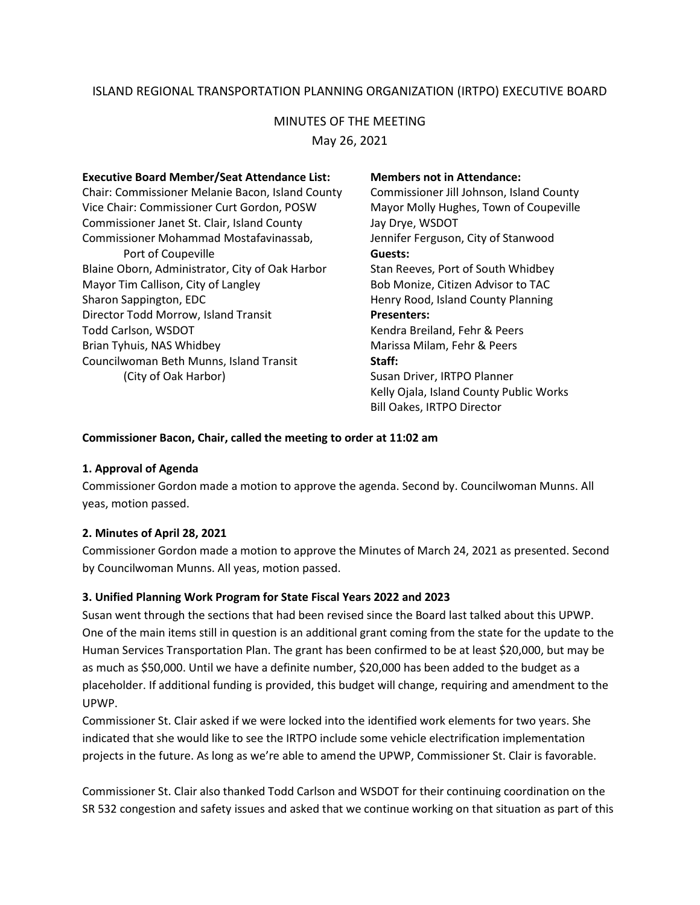# ISLAND REGIONAL TRANSPORTATION PLANNING ORGANIZATION (IRTPO) EXECUTIVE BOARD

### MINUTES OF THE MEETING

May 26, 2021

| <b>Executive Board Member/Seat Attendance List:</b><br>Chair: Commissioner Melanie Bacon, Island County<br>Vice Chair: Commissioner Curt Gordon, POSW<br>Commissioner Janet St. Clair, Island County | <b>Members not in Attendance:</b><br>Commissioner Jill Johnson, Island County<br>Mayor Molly Hughes, Town of Coupeville<br>Jay Drye, WSDOT |
|------------------------------------------------------------------------------------------------------------------------------------------------------------------------------------------------------|--------------------------------------------------------------------------------------------------------------------------------------------|
| Commissioner Mohammad Mostafavinassab,                                                                                                                                                               | Jennifer Ferguson, City of Stanwood                                                                                                        |
| Port of Coupeville                                                                                                                                                                                   | Guests:                                                                                                                                    |
| Blaine Oborn, Administrator, City of Oak Harbor                                                                                                                                                      | Stan Reeves, Port of South Whidbey                                                                                                         |
| Mayor Tim Callison, City of Langley                                                                                                                                                                  | Bob Monize, Citizen Advisor to TAC                                                                                                         |
| Sharon Sappington, EDC                                                                                                                                                                               | Henry Rood, Island County Planning                                                                                                         |
| Director Todd Morrow, Island Transit                                                                                                                                                                 | <b>Presenters:</b>                                                                                                                         |
| Todd Carlson, WSDOT                                                                                                                                                                                  | Kendra Breiland, Fehr & Peers                                                                                                              |
| Brian Tyhuis, NAS Whidbey                                                                                                                                                                            | Marissa Milam, Fehr & Peers                                                                                                                |
| Councilwoman Beth Munns, Island Transit                                                                                                                                                              | Staff:                                                                                                                                     |
| (City of Oak Harbor)                                                                                                                                                                                 | Susan Driver, IRTPO Planner                                                                                                                |
|                                                                                                                                                                                                      | Kelly Ojala, Island County Public Works                                                                                                    |
|                                                                                                                                                                                                      | <b>Bill Oakes, IRTPO Director</b>                                                                                                          |

#### **Commissioner Bacon, Chair, called the meeting to order at 11:02 am**

### **1. Approval of Agenda**

Commissioner Gordon made a motion to approve the agenda. Second by. Councilwoman Munns. All yeas, motion passed.

### **2. Minutes of April 28, 2021**

Commissioner Gordon made a motion to approve the Minutes of March 24, 2021 as presented. Second by Councilwoman Munns. All yeas, motion passed.

### **3. Unified Planning Work Program for State Fiscal Years 2022 and 2023**

Susan went through the sections that had been revised since the Board last talked about this UPWP. One of the main items still in question is an additional grant coming from the state for the update to the Human Services Transportation Plan. The grant has been confirmed to be at least \$20,000, but may be as much as \$50,000. Until we have a definite number, \$20,000 has been added to the budget as a placeholder. If additional funding is provided, this budget will change, requiring and amendment to the UPWP.

Commissioner St. Clair asked if we were locked into the identified work elements for two years. She indicated that she would like to see the IRTPO include some vehicle electrification implementation projects in the future. As long as we're able to amend the UPWP, Commissioner St. Clair is favorable.

Commissioner St. Clair also thanked Todd Carlson and WSDOT for their continuing coordination on the SR 532 congestion and safety issues and asked that we continue working on that situation as part of this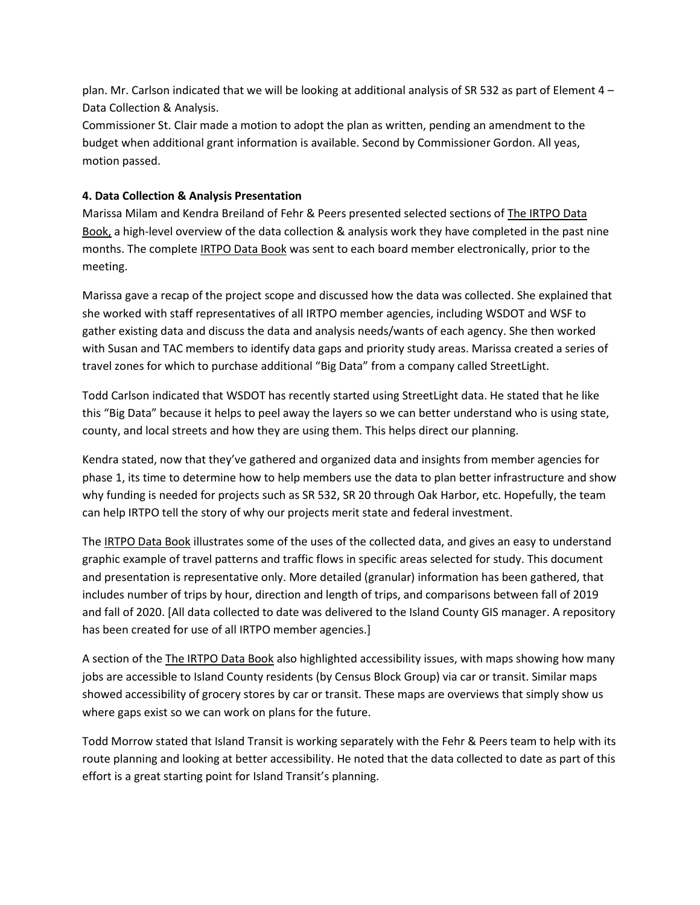plan. Mr. Carlson indicated that we will be looking at additional analysis of SR 532 as part of Element 4 – Data Collection & Analysis.

Commissioner St. Clair made a motion to adopt the plan as written, pending an amendment to the budget when additional grant information is available. Second by Commissioner Gordon. All yeas, motion passed.

# **4. Data Collection & Analysis Presentation**

Marissa Milam and Kendra Breiland of Fehr & Peers presented selected sections of The IRTPO Data Book, a high-level overview of the data collection & analysis work they have completed in the past nine months. The complete IRTPO Data Book was sent to each board member electronically, prior to the meeting.

Marissa gave a recap of the project scope and discussed how the data was collected. She explained that she worked with staff representatives of all IRTPO member agencies, including WSDOT and WSF to gather existing data and discuss the data and analysis needs/wants of each agency. She then worked with Susan and TAC members to identify data gaps and priority study areas. Marissa created a series of travel zones for which to purchase additional "Big Data" from a company called StreetLight.

Todd Carlson indicated that WSDOT has recently started using StreetLight data. He stated that he like this "Big Data" because it helps to peel away the layers so we can better understand who is using state, county, and local streets and how they are using them. This helps direct our planning.

Kendra stated, now that they've gathered and organized data and insights from member agencies for phase 1, its time to determine how to help members use the data to plan better infrastructure and show why funding is needed for projects such as SR 532, SR 20 through Oak Harbor, etc. Hopefully, the team can help IRTPO tell the story of why our projects merit state and federal investment.

The IRTPO Data Book illustrates some of the uses of the collected data, and gives an easy to understand graphic example of travel patterns and traffic flows in specific areas selected for study. This document and presentation is representative only. More detailed (granular) information has been gathered, that includes number of trips by hour, direction and length of trips, and comparisons between fall of 2019 and fall of 2020. [All data collected to date was delivered to the Island County GIS manager. A repository has been created for use of all IRTPO member agencies.]

A section of the The IRTPO Data Book also highlighted accessibility issues, with maps showing how many jobs are accessible to Island County residents (by Census Block Group) via car or transit. Similar maps showed accessibility of grocery stores by car or transit. These maps are overviews that simply show us where gaps exist so we can work on plans for the future.

Todd Morrow stated that Island Transit is working separately with the Fehr & Peers team to help with its route planning and looking at better accessibility. He noted that the data collected to date as part of this effort is a great starting point for Island Transit's planning.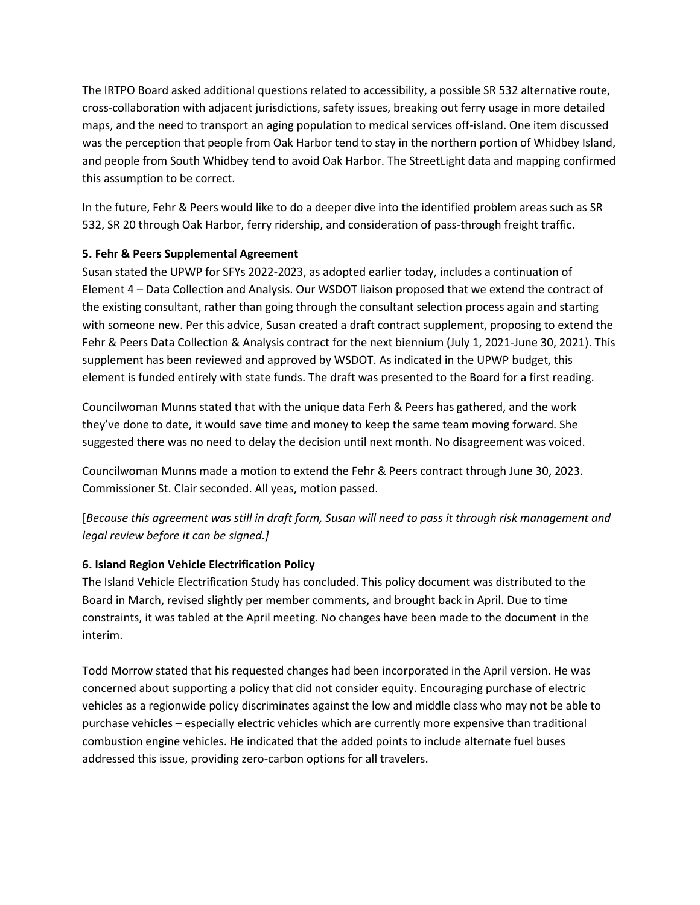The IRTPO Board asked additional questions related to accessibility, a possible SR 532 alternative route, cross-collaboration with adjacent jurisdictions, safety issues, breaking out ferry usage in more detailed maps, and the need to transport an aging population to medical services off-island. One item discussed was the perception that people from Oak Harbor tend to stay in the northern portion of Whidbey Island, and people from South Whidbey tend to avoid Oak Harbor. The StreetLight data and mapping confirmed this assumption to be correct.

In the future, Fehr & Peers would like to do a deeper dive into the identified problem areas such as SR 532, SR 20 through Oak Harbor, ferry ridership, and consideration of pass-through freight traffic.

# **5. Fehr & Peers Supplemental Agreement**

Susan stated the UPWP for SFYs 2022-2023, as adopted earlier today, includes a continuation of Element 4 – Data Collection and Analysis. Our WSDOT liaison proposed that we extend the contract of the existing consultant, rather than going through the consultant selection process again and starting with someone new. Per this advice, Susan created a draft contract supplement, proposing to extend the Fehr & Peers Data Collection & Analysis contract for the next biennium (July 1, 2021-June 30, 2021). This supplement has been reviewed and approved by WSDOT. As indicated in the UPWP budget, this element is funded entirely with state funds. The draft was presented to the Board for a first reading.

Councilwoman Munns stated that with the unique data Ferh & Peers has gathered, and the work they've done to date, it would save time and money to keep the same team moving forward. She suggested there was no need to delay the decision until next month. No disagreement was voiced.

Councilwoman Munns made a motion to extend the Fehr & Peers contract through June 30, 2023. Commissioner St. Clair seconded. All yeas, motion passed.

[*Because this agreement was still in draft form, Susan will need to pass it through risk management and legal review before it can be signed.]*

# **6. Island Region Vehicle Electrification Policy**

The Island Vehicle Electrification Study has concluded. This policy document was distributed to the Board in March, revised slightly per member comments, and brought back in April. Due to time constraints, it was tabled at the April meeting. No changes have been made to the document in the interim.

Todd Morrow stated that his requested changes had been incorporated in the April version. He was concerned about supporting a policy that did not consider equity. Encouraging purchase of electric vehicles as a regionwide policy discriminates against the low and middle class who may not be able to purchase vehicles – especially electric vehicles which are currently more expensive than traditional combustion engine vehicles. He indicated that the added points to include alternate fuel buses addressed this issue, providing zero-carbon options for all travelers.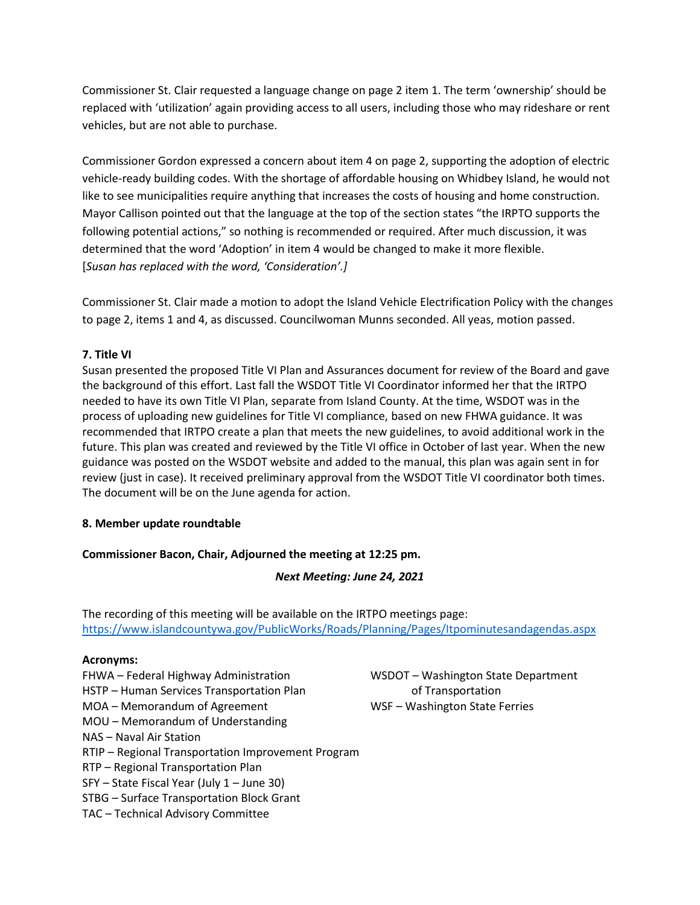Commissioner St. Clair requested a language change on page 2 item 1. The term 'ownership' should be replaced with 'utilization' again providing access to all users, including those who may rideshare or rent vehicles, but are not able to purchase.

Commissioner Gordon expressed a concern about item 4 on page 2, supporting the adoption of electric vehicle-ready building codes. With the shortage of affordable housing on Whidbey Island, he would not like to see municipalities require anything that increases the costs of housing and home construction. Mayor Callison pointed out that the language at the top of the section states "the IRPTO supports the following potential actions," so nothing is recommended or required. After much discussion, it was determined that the word 'Adoption' in item 4 would be changed to make it more flexible. [*Susan has replaced with the word, 'Consideration'.]*

Commissioner St. Clair made a motion to adopt the Island Vehicle Electrification Policy with the changes to page 2, items 1 and 4, as discussed. Councilwoman Munns seconded. All yeas, motion passed.

### **7. Title VI**

Susan presented the proposed Title VI Plan and Assurances document for review of the Board and gave the background of this effort. Last fall the WSDOT Title VI Coordinator informed her that the IRTPO needed to have its own Title VI Plan, separate from Island County. At the time, WSDOT was in the process of uploading new guidelines for Title VI compliance, based on new FHWA guidance. It was recommended that IRTPO create a plan that meets the new guidelines, to avoid additional work in the future. This plan was created and reviewed by the Title VI office in October of last year. When the new guidance was posted on the WSDOT website and added to the manual, this plan was again sent in for review (just in case). It received preliminary approval from the WSDOT Title VI coordinator both times. The document will be on the June agenda for action.

### **8. Member update roundtable**

### **Commissioner Bacon, Chair, Adjourned the meeting at 12:25 pm.**

### *Next Meeting: June 24, 2021*

The recording of this meeting will be available on the IRTPO meetings page: <https://www.islandcountywa.gov/PublicWorks/Roads/Planning/Pages/Itpominutesandagendas.aspx>

### **Acronyms:**

- 
- HSTP Human Services Transportation Plan of Transportation
- MOA Memorandum of Agreement WSF Washington State Ferries
- MOU Memorandum of Understanding
- NAS Naval Air Station
- RTIP Regional Transportation Improvement Program
- RTP Regional Transportation Plan
- SFY State Fiscal Year (July 1 June 30)
- STBG Surface Transportation Block Grant
- TAC Technical Advisory Committee

FHWA – Federal Highway Administration WSDOT – Washington State Department